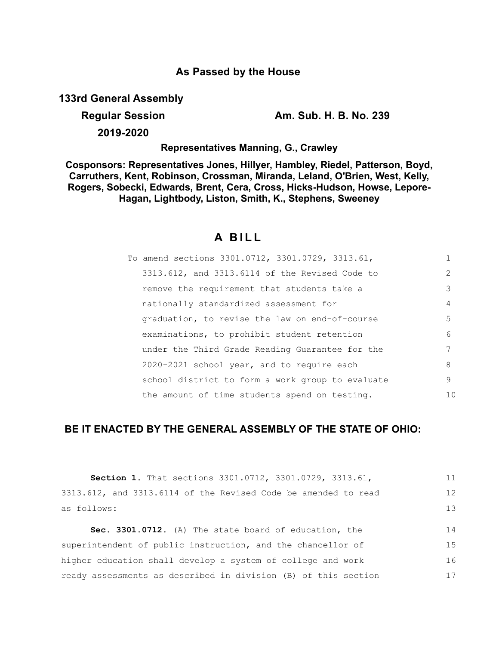## **As Passed by the House**

**133rd General Assembly**

## **Regular Session Am. Sub. H. B. No. 239**

**2019-2020**

**Representatives Manning, G., Crawley**

**Cosponsors: Representatives Jones, Hillyer, Hambley, Riedel, Patterson, Boyd, Carruthers, Kent, Robinson, Crossman, Miranda, Leland, O'Brien, West, Kelly, Rogers, Sobecki, Edwards, Brent, Cera, Cross, Hicks-Hudson, Howse, Lepore-Hagan, Lightbody, Liston, Smith, K., Stephens, Sweeney**

# **A B I L L**

| To amend sections 3301.0712, 3301.0729, 3313.61, |               |
|--------------------------------------------------|---------------|
| 3313.612, and 3313.6114 of the Revised Code to   | $\mathcal{L}$ |
| remove the requirement that students take a      | 3             |
| nationally standardized assessment for           | 4             |
| graduation, to revise the law on end-of-course   | .5            |
| examinations, to prohibit student retention      | 6             |
| under the Third Grade Reading Guarantee for the  |               |
| 2020-2021 school year, and to require each       | 8             |
| school district to form a work group to evaluate | 9             |
| the amount of time students spend on testing.    | 10            |

## **BE IT ENACTED BY THE GENERAL ASSEMBLY OF THE STATE OF OHIO:**

| Section 1. That sections 3301.0712, 3301.0729, 3313.61,        | 11 |
|----------------------------------------------------------------|----|
| 3313.612, and 3313.6114 of the Revised Code be amended to read | 12 |
| as follows:                                                    | 13 |
| Sec. 3301.0712. (A) The state board of education, the          | 14 |
| superintendent of public instruction, and the chancellor of    | 15 |
| higher education shall develop a system of college and work    | 16 |
| ready assessments as described in division (B) of this section | 17 |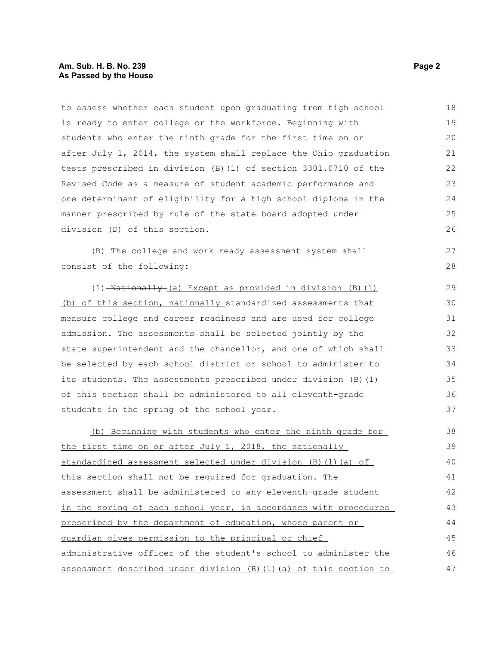#### **Am. Sub. H. B. No. 239 Page 2 As Passed by the House**

to assess whether each student upon graduating from high school is ready to enter college or the workforce. Beginning with students who enter the ninth grade for the first time on or after July 1, 2014, the system shall replace the Ohio graduation tests prescribed in division (B)(1) of section 3301.0710 of the Revised Code as a measure of student academic performance and one determinant of eligibility for a high school diploma in the manner prescribed by rule of the state board adopted under division (D) of this section. 18 19  $20$ 21 22 23 24 25 26

(B) The college and work ready assessment system shall consist of the following:

 $(1)$  -Nationally (a) Except as provided in division (B)(1) (b) of this section, nationally standardized assessments that measure college and career readiness and are used for college admission. The assessments shall be selected jointly by the state superintendent and the chancellor, and one of which shall be selected by each school district or school to administer to its students. The assessments prescribed under division (B)(1) of this section shall be administered to all eleventh-grade students in the spring of the school year.

(b) Beginning with students who enter the ninth grade for the first time on or after July 1, 2018, the nationally standardized assessment selected under division (B)(1)(a) of this section shall not be required for graduation. The assessment shall be administered to any eleventh-grade student in the spring of each school year, in accordance with procedures prescribed by the department of education, whose parent or guardian gives permission to the principal or chief administrative officer of the student's school to administer the assessment described under division (B)(1)(a) of this section to 38 39 40 41 42 43 44 45 46 47

27 28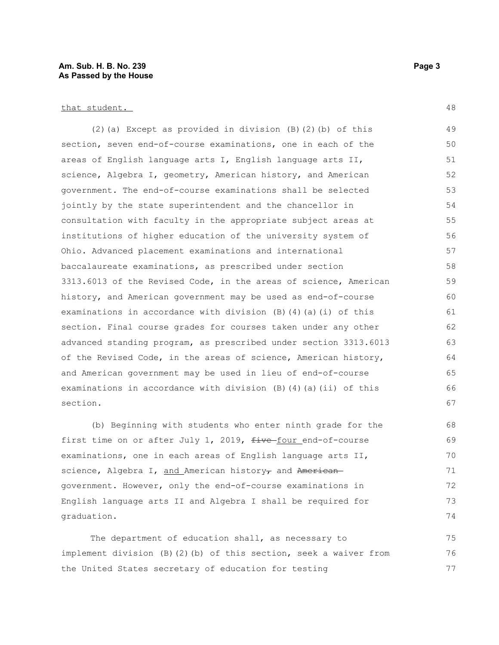#### **Am. Sub. H. B. No. 239 Page 3 As Passed by the House**

#### that student.

(2)(a) Except as provided in division (B)(2)(b) of this section, seven end-of-course examinations, one in each of the areas of English language arts I, English language arts II, science, Algebra I, geometry, American history, and American government. The end-of-course examinations shall be selected jointly by the state superintendent and the chancellor in consultation with faculty in the appropriate subject areas at institutions of higher education of the university system of Ohio. Advanced placement examinations and international baccalaureate examinations, as prescribed under section 3313.6013 of the Revised Code, in the areas of science, American history, and American government may be used as end-of-course examinations in accordance with division (B)(4)(a)(i) of this section. Final course grades for courses taken under any other advanced standing program, as prescribed under section 3313.6013 of the Revised Code, in the areas of science, American history, and American government may be used in lieu of end-of-course examinations in accordance with division  $(B)$  (4)(a)(ii) of this section. 49 50 51 52 53 54 55 56 57 58 59 60 61 62 63 64 65 66 67

(b) Beginning with students who enter ninth grade for the first time on or after July 1, 2019,  $f$ ive-four end-of-course examinations, one in each areas of English language arts II, science, Algebra I, and American history, and Americangovernment. However, only the end-of-course examinations in English language arts II and Algebra I shall be required for graduation.

The department of education shall, as necessary to implement division (B)(2)(b) of this section, seek a waiver from the United States secretary of education for testing 75 76 77

48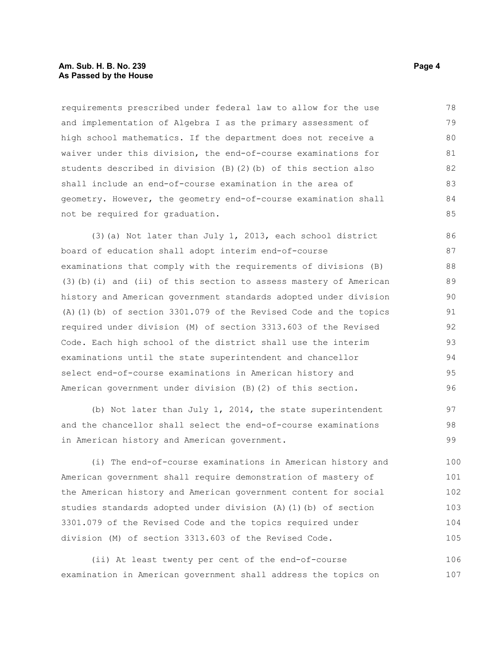#### **Am. Sub. H. B. No. 239 Page 4 As Passed by the House**

requirements prescribed under federal law to allow for the use and implementation of Algebra I as the primary assessment of high school mathematics. If the department does not receive a waiver under this division, the end-of-course examinations for students described in division (B)(2)(b) of this section also shall include an end-of-course examination in the area of geometry. However, the geometry end-of-course examination shall not be required for graduation. 78 79 80 81 82 83 84 85

(3)(a) Not later than July 1, 2013, each school district board of education shall adopt interim end-of-course examinations that comply with the requirements of divisions (B) (3)(b)(i) and (ii) of this section to assess mastery of American history and American government standards adopted under division (A)(1)(b) of section 3301.079 of the Revised Code and the topics required under division (M) of section 3313.603 of the Revised Code. Each high school of the district shall use the interim examinations until the state superintendent and chancellor select end-of-course examinations in American history and American government under division (B)(2) of this section. 86 87 88 89 90 91 92 93 94 95 96

(b) Not later than July 1, 2014, the state superintendent and the chancellor shall select the end-of-course examinations in American history and American government.

(i) The end-of-course examinations in American history and American government shall require demonstration of mastery of the American history and American government content for social studies standards adopted under division (A)(1)(b) of section 3301.079 of the Revised Code and the topics required under division (M) of section 3313.603 of the Revised Code. 100 101 102 103 104 105

(ii) At least twenty per cent of the end-of-course examination in American government shall address the topics on 106 107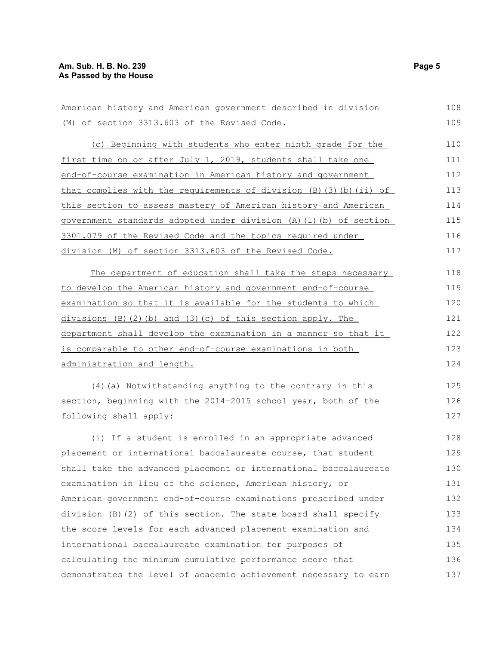| (M) of section 3313.603 of the Revised Code.                                | 109 |
|-----------------------------------------------------------------------------|-----|
| (c) Beginning with students who enter ninth grade for the                   | 110 |
| first time on or after July 1, 2019, students shall take one                | 111 |
| end-of-course examination in American history and government                | 112 |
| that complies with the requirements of division $(B)$ $(3)$ $(b)$ $(ii)$ of | 113 |
| this section to assess mastery of American history and American             | 114 |
| government standards adopted under division (A) (1) (b) of section          | 115 |
| 3301.079 of the Revised Code and the topics required under                  | 116 |
| division (M) of section 3313.603 of the Revised Code.                       | 117 |
| The department of education shall take the steps necessary                  | 118 |
| to develop the American history and government end-of-course                | 119 |
| examination so that it is available for the students to which               | 120 |
| $divisions$ (B) (2) (b) and (3) (c) of this section apply. The              | 121 |
| department shall develop the examination in a manner so that it             | 122 |
| is comparable to other end-of-course examinations in both                   | 123 |
| administration and length.                                                  | 124 |
| (4) (a) Notwithstanding anything to the contrary in this                    | 125 |
| section, beginning with the 2014-2015 school year, both of the              | 126 |
| following shall apply:                                                      | 127 |
| (i) If a student is enrolled in an appropriate advanced                     | 128 |
| placement or international baccalaureate course, that student               | 129 |
| shall take the advanced placement or international baccalaureate            | 130 |
| examination in lieu of the science, American history, or                    | 131 |

American history and American government described in division

placemen<sup>t</sup> shall ta examinat. American government end-of-course examinations prescribed under division (B)(2) of this section. The state board shall specify the score levels for each advanced placement examination and international baccalaureate examination for purposes of calculating the minimum cumulative performance score that demonstrates the level of academic achievement necessary to earn 132 133 134 135 136 137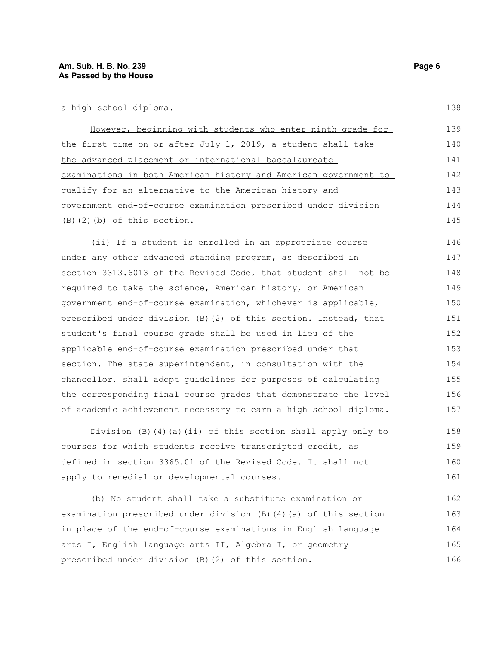138

| However, beginning with students who enter ninth grade for       | 139 |
|------------------------------------------------------------------|-----|
| the first time on or after July 1, 2019, a student shall take    | 140 |
| the advanced placement or international baccalaureate            | 141 |
| examinations in both American history and American government to | 142 |
| qualify for an alternative to the American history and           | 143 |
| government end-of-course examination prescribed under division   | 144 |
| $(B)$ $(2)$ $(b)$ of this section.                               | 145 |

(ii) If a student is enrolled in an appropriate course under any other advanced standing program, as described in section 3313.6013 of the Revised Code, that student shall not be required to take the science, American history, or American government end-of-course examination, whichever is applicable, prescribed under division (B)(2) of this section. Instead, that student's final course grade shall be used in lieu of the applicable end-of-course examination prescribed under that section. The state superintendent, in consultation with the chancellor, shall adopt guidelines for purposes of calculating the corresponding final course grades that demonstrate the level of academic achievement necessary to earn a high school diploma. 146 147 148 149 150 151 152 153 154 155 156 157

Division  $(B)$   $(4)$   $(a)$   $(ii)$  of this section shall apply only to courses for which students receive transcripted credit, as defined in section 3365.01 of the Revised Code. It shall not apply to remedial or developmental courses. 158 159 160 161

(b) No student shall take a substitute examination or examination prescribed under division  $(B)$  (4)(a) of this section in place of the end-of-course examinations in English language arts I, English language arts II, Algebra I, or geometry prescribed under division (B)(2) of this section. 162 163 164 165 166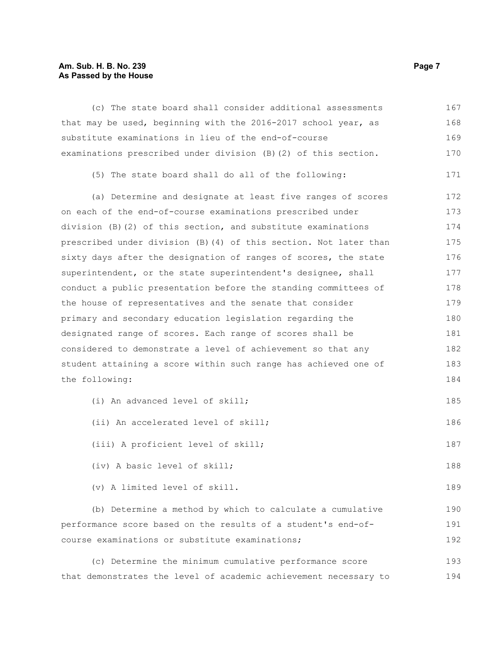### **Am. Sub. H. B. No. 239 Page 7 As Passed by the House**

| (c) The state board shall consider additional assessments         | 167 |  |  |  |
|-------------------------------------------------------------------|-----|--|--|--|
| that may be used, beginning with the 2016-2017 school year, as    | 168 |  |  |  |
| substitute examinations in lieu of the end-of-course              |     |  |  |  |
| examinations prescribed under division (B) (2) of this section.   | 170 |  |  |  |
| (5) The state board shall do all of the following:                | 171 |  |  |  |
| (a) Determine and designate at least five ranges of scores        | 172 |  |  |  |
| on each of the end-of-course examinations prescribed under        | 173 |  |  |  |
| division $(B)$ (2) of this section, and substitute examinations   | 174 |  |  |  |
| prescribed under division (B) (4) of this section. Not later than | 175 |  |  |  |
| sixty days after the designation of ranges of scores, the state   | 176 |  |  |  |
| superintendent, or the state superintendent's designee, shall     | 177 |  |  |  |
| conduct a public presentation before the standing committees of   | 178 |  |  |  |
| the house of representatives and the senate that consider         | 179 |  |  |  |
| primary and secondary education legislation regarding the         | 180 |  |  |  |
| designated range of scores. Each range of scores shall be         |     |  |  |  |
| considered to demonstrate a level of achievement so that any      |     |  |  |  |
| student attaining a score within such range has achieved one of   |     |  |  |  |
| the following:                                                    | 184 |  |  |  |
| (i) An advanced level of skill;                                   | 185 |  |  |  |
| (ii) An accelerated level of skill;                               | 186 |  |  |  |
| (iii) A proficient level of skill;                                | 187 |  |  |  |
| (iv) A basic level of skill;                                      | 188 |  |  |  |
| (v) A limited level of skill.                                     | 189 |  |  |  |
| (b) Determine a method by which to calculate a cumulative         | 190 |  |  |  |
| performance score based on the results of a student's end-of-     |     |  |  |  |
| course examinations or substitute examinations;                   |     |  |  |  |
| (c) Determine the minimum cumulative performance score            | 193 |  |  |  |
| that demonstrates the level of academic achievement necessary to  | 194 |  |  |  |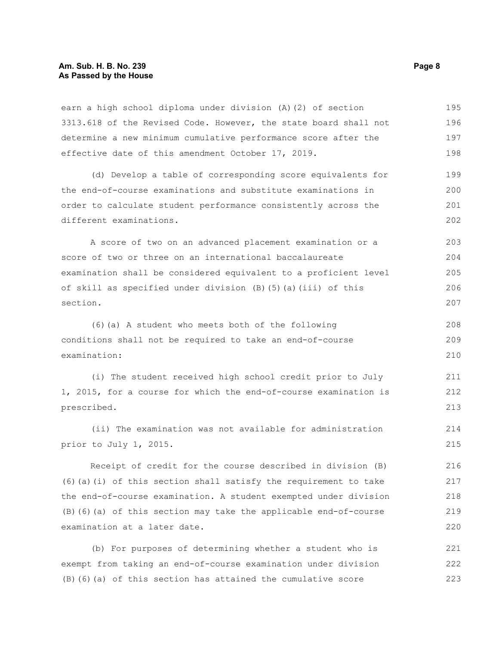#### **Am. Sub. H. B. No. 239 Page 8 As Passed by the House**

earn a high school diploma under division (A)(2) of section 3313.618 of the Revised Code. However, the state board shall not determine a new minimum cumulative performance score after the effective date of this amendment October 17, 2019. 195 196 197 198

(d) Develop a table of corresponding score equivalents for the end-of-course examinations and substitute examinations in order to calculate student performance consistently across the different examinations. 199 200 201 202

A score of two on an advanced placement examination or a score of two or three on an international baccalaureate examination shall be considered equivalent to a proficient level of skill as specified under division (B)(5)(a)(iii) of this section. 203 204 205 206 207

(6)(a) A student who meets both of the following conditions shall not be required to take an end-of-course examination: 208 209 210

(i) The student received high school credit prior to July 1, 2015, for a course for which the end-of-course examination is prescribed. 211 212 213

(ii) The examination was not available for administration prior to July 1, 2015. 214 215

Receipt of credit for the course described in division (B) (6)(a)(i) of this section shall satisfy the requirement to take the end-of-course examination. A student exempted under division (B)(6)(a) of this section may take the applicable end-of-course examination at a later date. 216 217 218 219 220

(b) For purposes of determining whether a student who is exempt from taking an end-of-course examination under division (B)(6)(a) of this section has attained the cumulative score 221 222 223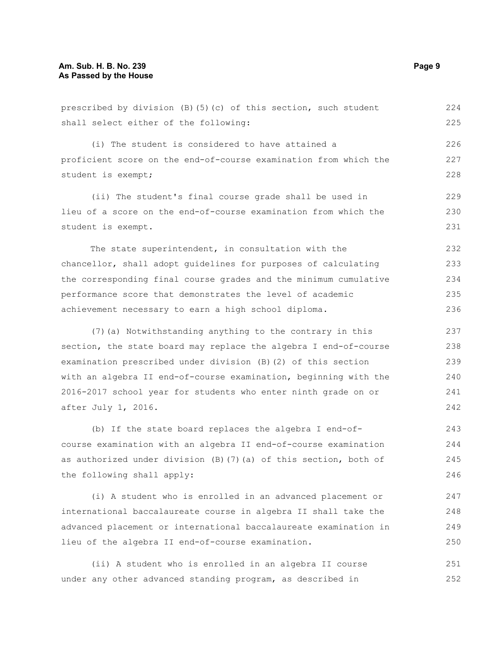prescribed by division (B)(5)(c) of this section, such student shall select either of the following: (i) The student is considered to have attained a proficient score on the end-of-course examination from which the student is exempt; (ii) The student's final course grade shall be used in lieu of a score on the end-of-course examination from which the student is exempt. The state superintendent, in consultation with the chancellor, shall adopt guidelines for purposes of calculating the corresponding final course grades and the minimum cumulative performance score that demonstrates the level of academic achievement necessary to earn a high school diploma. (7)(a) Notwithstanding anything to the contrary in this section, the state board may replace the algebra I end-of-course examination prescribed under division (B)(2) of this section with an algebra II end-of-course examination, beginning with the 2016-2017 school year for students who enter ninth grade on or after July 1, 2016. (b) If the state board replaces the algebra I end-of-224 225 226 227 228 229 230 231 232 233 234 235 236 237 238 239 240 241 242 243

course examination with an algebra II end-of-course examination as authorized under division (B)(7)(a) of this section, both of the following shall apply: 244 245 246

(i) A student who is enrolled in an advanced placement or international baccalaureate course in algebra II shall take the advanced placement or international baccalaureate examination in lieu of the algebra II end-of-course examination. 247 248 249 250

(ii) A student who is enrolled in an algebra II course under any other advanced standing program, as described in 251 252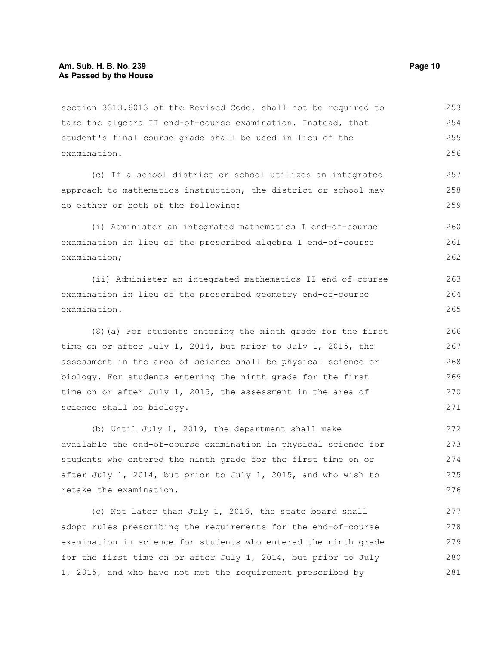section 3313.6013 of the Revised Code, shall not be required to take the algebra II end-of-course examination. Instead, that student's final course grade shall be used in lieu of the examination. 253 254 255 256

(c) If a school district or school utilizes an integrated approach to mathematics instruction, the district or school may do either or both of the following:

(i) Administer an integrated mathematics I end-of-course examination in lieu of the prescribed algebra I end-of-course examination; 260 261 262

(ii) Administer an integrated mathematics II end-of-course examination in lieu of the prescribed geometry end-of-course examination.

(8)(a) For students entering the ninth grade for the first time on or after July 1, 2014, but prior to July 1, 2015, the assessment in the area of science shall be physical science or biology. For students entering the ninth grade for the first time on or after July 1, 2015, the assessment in the area of science shall be biology.

(b) Until July 1, 2019, the department shall make available the end-of-course examination in physical science for students who entered the ninth grade for the first time on or after July 1, 2014, but prior to July 1, 2015, and who wish to retake the examination. 272 273 274 275 276

(c) Not later than July 1, 2016, the state board shall adopt rules prescribing the requirements for the end-of-course examination in science for students who entered the ninth grade for the first time on or after July 1, 2014, but prior to July 1, 2015, and who have not met the requirement prescribed by 277 278 279 280 281

257 258 259

263 264 265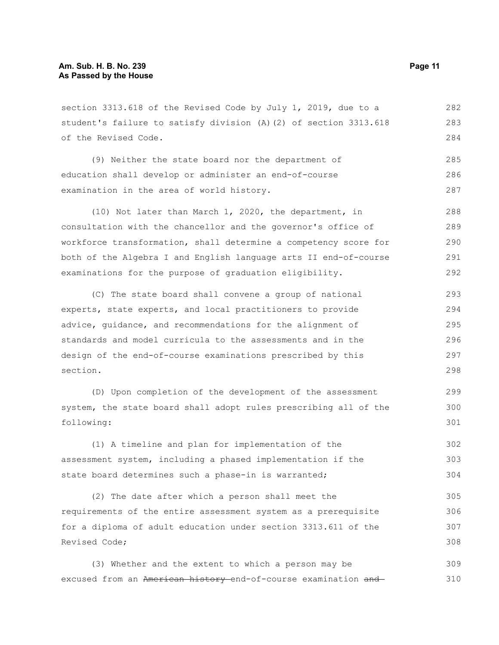section 3313.618 of the Revised Code by July 1, 2019, due to a student's failure to satisfy division (A)(2) of section 3313.618 of the Revised Code. 282 283 284

(9) Neither the state board nor the department of education shall develop or administer an end-of-course examination in the area of world history. 285 286 287

(10) Not later than March 1, 2020, the department, in consultation with the chancellor and the governor's office of workforce transformation, shall determine a competency score for both of the Algebra I and English language arts II end-of-course examinations for the purpose of graduation eligibility. 288 289 290 291 292

(C) The state board shall convene a group of national experts, state experts, and local practitioners to provide advice, guidance, and recommendations for the alignment of standards and model curricula to the assessments and in the design of the end-of-course examinations prescribed by this section. 293 294 295 296 297 298

(D) Upon completion of the development of the assessment system, the state board shall adopt rules prescribing all of the following:

(1) A timeline and plan for implementation of the assessment system, including a phased implementation if the state board determines such a phase-in is warranted; 302 303 304

(2) The date after which a person shall meet the requirements of the entire assessment system as a prerequisite for a diploma of adult education under section 3313.611 of the Revised Code; 305 306 307 308

(3) Whether and the extent to which a person may be excused from an American history-end-of-course examination and 309 310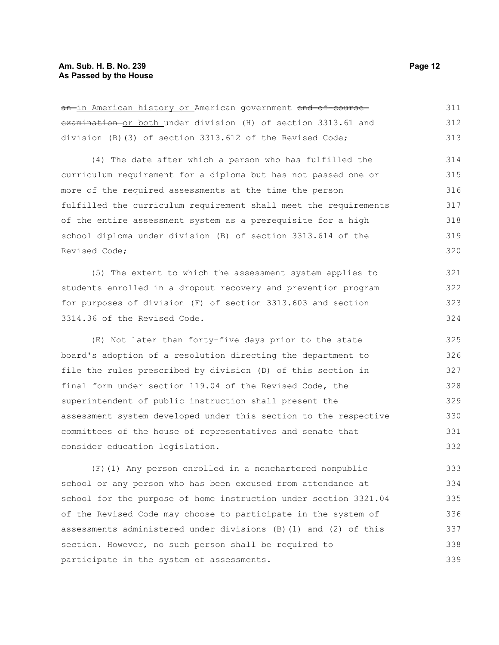#### **Am. Sub. H. B. No. 239 Page 12 As Passed by the House**

| <del>an <u>in American history or</u> American government <del>end of course-</del></del> | 311 |
|-------------------------------------------------------------------------------------------|-----|
| examination or both under division (H) of section 3313.61 and                             | 312 |
| division (B) (3) of section 3313.612 of the Revised Code;                                 | 313 |
| (4) The date after which a person who has fulfilled the                                   | 314 |
| curriculum requirement for a diploma but has not passed one or                            | 315 |
| more of the required assessments at the time the person                                   | 316 |
| fulfilled the curriculum requirement shall meet the requirements                          | 317 |
| of the entire assessment system as a prerequisite for a high                              | 318 |
| school diploma under division (B) of section 3313.614 of the                              | 319 |
| Revised Code;                                                                             | 320 |
| (5) The extent to which the assessment system applies to                                  | 321 |
| students enrolled in a dropout recovery and prevention program                            | 322 |
| for purposes of division (F) of section 3313.603 and section                              | 323 |
| 3314.36 of the Revised Code.                                                              | 324 |
| (E) Not later than forty-five days prior to the state                                     | 325 |
| board's adoption of a resolution directing the department to                              | 326 |
| file the rules prescribed by division (D) of this section in                              | 327 |
| final form under section 119.04 of the Revised Code, the                                  | 328 |
| superintendent of public instruction shall present the                                    | 329 |
| assessment system developed under this section to the respective                          | 330 |
| committees of the house of representatives and senate that                                | 331 |
| consider education legislation.                                                           | 332 |
| (F) (1) Any person enrolled in a nonchartered nonpublic                                   | 333 |
| school or any person who has been excused from attendance at                              | 334 |
| school for the purpose of home instruction under section 3321.04                          | 335 |

of the Revised Code may choose to participate in the system of

section. However, no such person shall be required to

participate in the system of assessments.

assessments administered under divisions (B)(1) and (2) of this

an in American history or American government end-of-course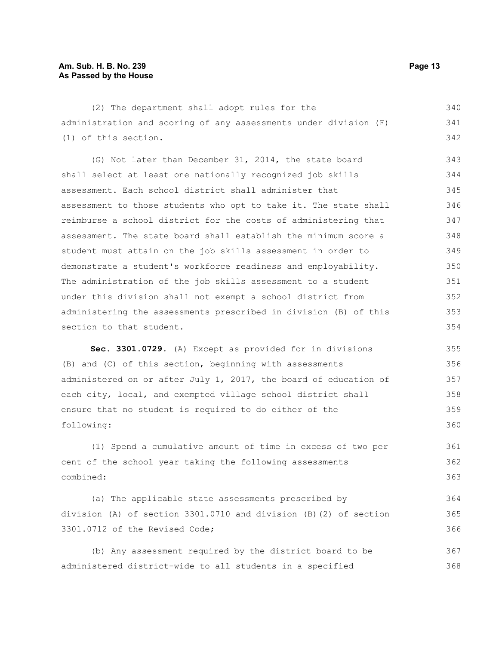#### **Am. Sub. H. B. No. 239 Page 13 As Passed by the House**

(2) The department shall adopt rules for the administration and scoring of any assessments under division (F) (1) of this section. 340 341 342

(G) Not later than December 31, 2014, the state board shall select at least one nationally recognized job skills assessment. Each school district shall administer that assessment to those students who opt to take it. The state shall reimburse a school district for the costs of administering that assessment. The state board shall establish the minimum score a student must attain on the job skills assessment in order to demonstrate a student's workforce readiness and employability. The administration of the job skills assessment to a student under this division shall not exempt a school district from administering the assessments prescribed in division (B) of this section to that student. 343 344 345 346 347 348 349 350 351 352 353 354

**Sec. 3301.0729.** (A) Except as provided for in divisions (B) and (C) of this section, beginning with assessments administered on or after July 1, 2017, the board of education of each city, local, and exempted village school district shall ensure that no student is required to do either of the following: 355 356 357 358 359 360

(1) Spend a cumulative amount of time in excess of two per cent of the school year taking the following assessments combined: 361 362 363

(a) The applicable state assessments prescribed by division (A) of section 3301.0710 and division (B)(2) of section 3301.0712 of the Revised Code; 364 365 366

(b) Any assessment required by the district board to be administered district-wide to all students in a specified 367 368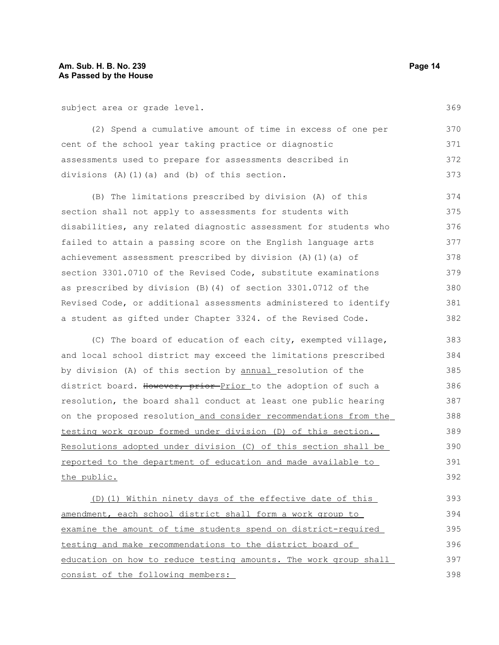subject area or grade level.

(2) Spend a cumulative amount of time in excess of one per cent of the school year taking practice or diagnostic assessments used to prepare for assessments described in divisions (A)(1)(a) and (b) of this section. 370 371 372 373

(B) The limitations prescribed by division (A) of this section shall not apply to assessments for students with disabilities, any related diagnostic assessment for students who failed to attain a passing score on the English language arts achievement assessment prescribed by division (A)(1)(a) of section 3301.0710 of the Revised Code, substitute examinations as prescribed by division (B)(4) of section 3301.0712 of the Revised Code, or additional assessments administered to identify a student as gifted under Chapter 3324. of the Revised Code. 374 375 376 377 378 379 380 381 382

(C) The board of education of each city, exempted village, and local school district may exceed the limitations prescribed by division (A) of this section by annual resolution of the district board. However, prior Prior to the adoption of such a resolution, the board shall conduct at least one public hearing on the proposed resolution and consider recommendations from the testing work group formed under division (D) of this section. Resolutions adopted under division (C) of this section shall be reported to the department of education and made available to the public. 383 384 385 386 387 388 389 390 391 392

(D)(1) Within ninety days of the effective date of this amendment, each school district shall form a work group to examine the amount of time students spend on district-required testing and make recommendations to the district board of education on how to reduce testing amounts. The work group shall consist of the following members: 393 394 395 396 397 398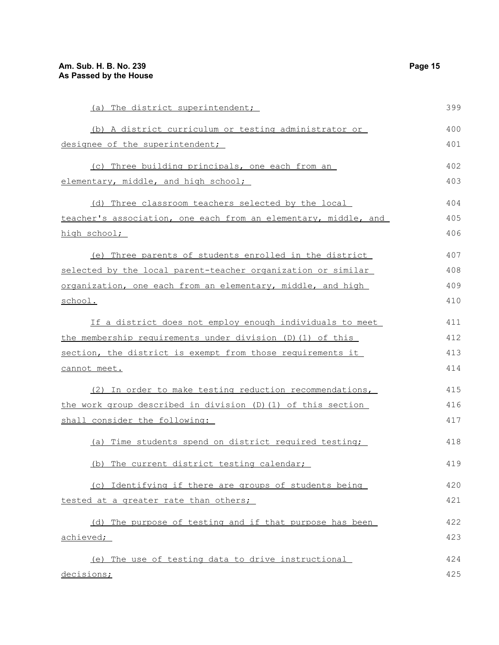(a) The district superintendent; (b) A district curriculum or testing administrator or designee of the superintendent; (c) Three building principals, one each from an elementary, middle, and high school; (d) Three classroom teachers selected by the local teacher's association, one each from an elementary, middle, and high school; (e) Three parents of students enrolled in the district selected by the local parent-teacher organization or similar organization, one each from an elementary, middle, and high school. If a district does not employ enough individuals to meet the membership requirements under division (D)(1) of this section, the district is exempt from those requirements it cannot meet. (2) In order to make testing reduction recommendations, the work group described in division (D)(1) of this section shall consider the following: (a) Time students spend on district required testing; (b) The current district testing calendar; (c) Identifying if there are groups of students being tested at a greater rate than others; (d) The purpose of testing and if that purpose has been achieved; (e) The use of testing data to drive instructional 399 400 401 402 403 404 405 406 407 408 409 410 411 412 413 414 415 416 417 418 419 420 421 422 423 424

```
decisions;
```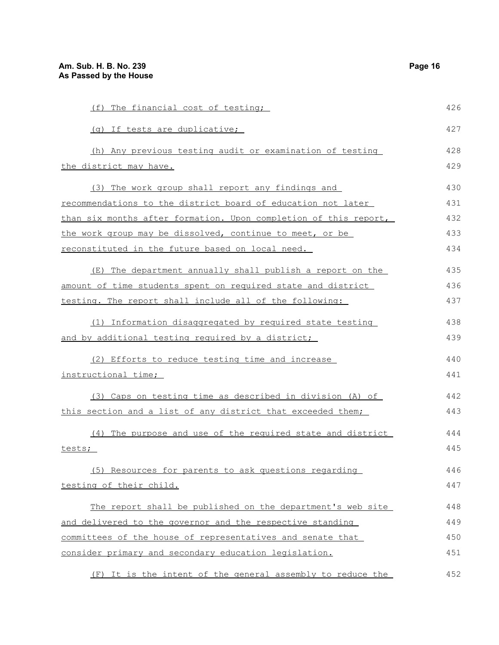| (f) The financial cost of testing;                               | 426 |
|------------------------------------------------------------------|-----|
| (g) If tests are duplicative;                                    | 427 |
| (h) Any previous testing audit or examination of testing         | 428 |
| the district may have.                                           | 429 |
| (3) The work group shall report any findings and                 | 430 |
| recommendations to the district board of education not later     | 431 |
| than six months after formation. Upon completion of this report, | 432 |
| the work group may be dissolved, continue to meet, or be         | 433 |
| reconstituted in the future based on local need.                 | 434 |
| (E) The department annually shall publish a report on the        | 435 |
| amount of time students spent on required state and district     | 436 |
| testing. The report shall include all of the following:          | 437 |
| (1) Information disaggregated by required state testing          | 438 |
| and by additional testing required by a district;                | 439 |
| (2) Efforts to reduce testing time and increase                  | 440 |
| instructional time;                                              | 441 |
| (3) Caps on testing time as described in division (A) of         | 442 |
| this section and a list of any district that exceeded them;      | 443 |
| (4) The purpose and use of the required state and district       | 444 |
| tests;                                                           | 445 |
| (5) Resources for parents to ask questions regarding             | 446 |
| testing of their child.                                          | 447 |
| The report shall be published on the department's web site       | 448 |
| and delivered to the governor and the respective standing        | 449 |
| committees of the house of representatives and senate that       | 450 |
| consider primary and secondary education legislation.            | 451 |
| (F) It is the intent of the general assembly to reduce the       | 452 |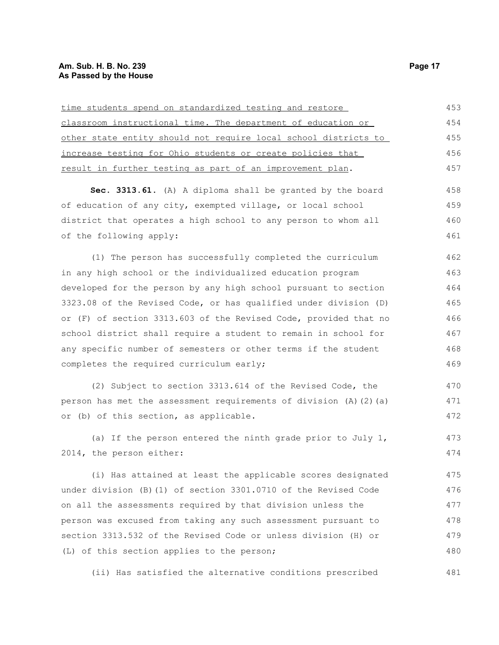### **Am. Sub. H. B. No. 239 Page 17 As Passed by the House**

| 453 |
|-----|
|     |
| 454 |
| 455 |
| 456 |
| 457 |
| 458 |
| 459 |
| 460 |
| 461 |
| 462 |
| 463 |
| 464 |
| 465 |
| 466 |
| 467 |
| 468 |
| 469 |
| 470 |
| 471 |
| 472 |
| 473 |
| 474 |
| 475 |
| 476 |
| 477 |
| 478 |
| 479 |
| 480 |
|     |

(ii) Has satisfied the alternative conditions prescribed 481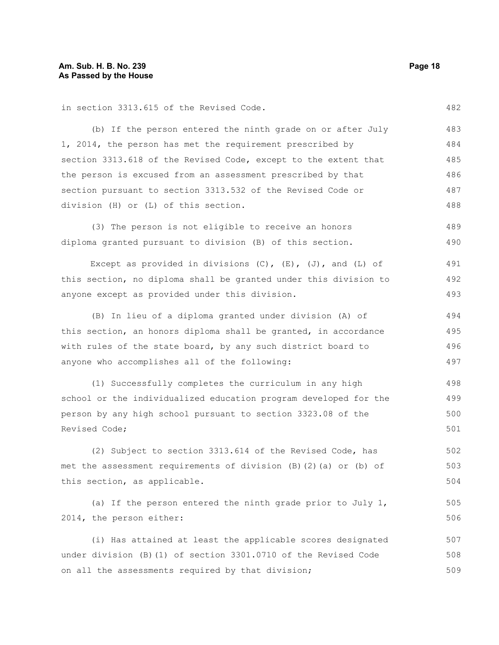in section 3313.615 of the Revised Code. (b) If the person entered the ninth grade on or after July 1, 2014, the person has met the requirement prescribed by section 3313.618 of the Revised Code, except to the extent that the person is excused from an assessment prescribed by that section pursuant to section 3313.532 of the Revised Code or division (H) or (L) of this section. (3) The person is not eligible to receive an honors diploma granted pursuant to division (B) of this section. Except as provided in divisions  $(C)$ ,  $(E)$ ,  $(J)$ , and  $(L)$  of this section, no diploma shall be granted under this division to anyone except as provided under this division. (B) In lieu of a diploma granted under division (A) of this section, an honors diploma shall be granted, in accordance with rules of the state board, by any such district board to anyone who accomplishes all of the following: (1) Successfully completes the curriculum in any high school or the individualized education program developed for the person by any high school pursuant to section 3323.08 of the Revised Code; (2) Subject to section 3313.614 of the Revised Code, has met the assessment requirements of division (B)(2)(a) or (b) of this section, as applicable. (a) If the person entered the ninth grade prior to July  $1$ , 2014, the person either: (i) Has attained at least the applicable scores designated under division (B)(1) of section 3301.0710 of the Revised Code on all the assessments required by that division; 482 483 484 485 486 487 488 489 490 491 492 493 494 495 496 497 498 499 500 501 502 503 504 505 506 507 508 509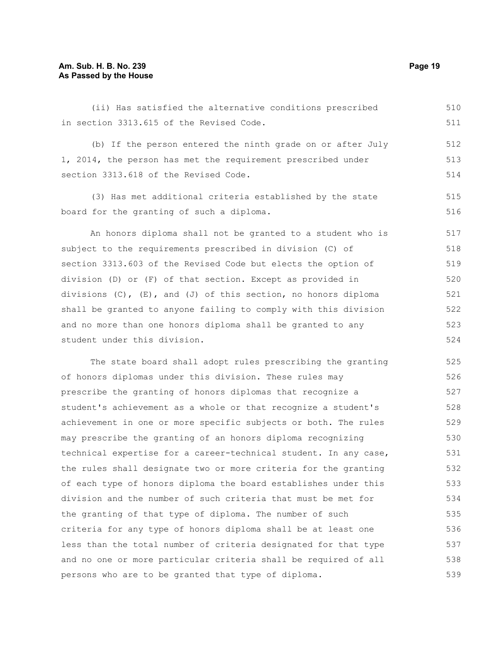#### **Am. Sub. H. B. No. 239 Page 19 As Passed by the House**

(ii) Has satisfied the alternative conditions prescribed in section 3313.615 of the Revised Code. (b) If the person entered the ninth grade on or after July 1, 2014, the person has met the requirement prescribed under section 3313.618 of the Revised Code. (3) Has met additional criteria established by the state board for the granting of such a diploma. An honors diploma shall not be granted to a student who is subject to the requirements prescribed in division (C) of 510 511 512 513 514 515 516 517 518

section 3313.603 of the Revised Code but elects the option of division (D) or (F) of that section. Except as provided in divisions (C), (E), and (J) of this section, no honors diploma shall be granted to anyone failing to comply with this division and no more than one honors diploma shall be granted to any student under this division. 519 520 521 522 523 524

The state board shall adopt rules prescribing the granting of honors diplomas under this division. These rules may prescribe the granting of honors diplomas that recognize a student's achievement as a whole or that recognize a student's achievement in one or more specific subjects or both. The rules may prescribe the granting of an honors diploma recognizing technical expertise for a career-technical student. In any case, the rules shall designate two or more criteria for the granting of each type of honors diploma the board establishes under this division and the number of such criteria that must be met for the granting of that type of diploma. The number of such criteria for any type of honors diploma shall be at least one less than the total number of criteria designated for that type and no one or more particular criteria shall be required of all persons who are to be granted that type of diploma. 525 526 527 528 529 530 531 532 533 534 535 536 537 538 539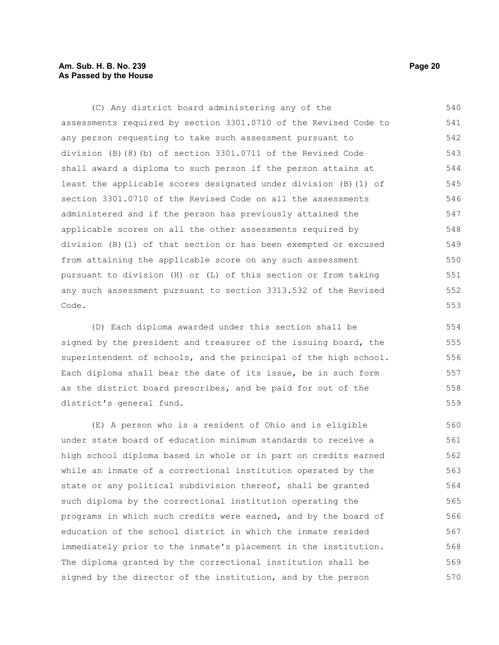#### **Am. Sub. H. B. No. 239 Page 20 As Passed by the House**

(C) Any district board administering any of the assessments required by section 3301.0710 of the Revised Code to any person requesting to take such assessment pursuant to division (B)(8)(b) of section 3301.0711 of the Revised Code shall award a diploma to such person if the person attains at least the applicable scores designated under division (B)(1) of section 3301.0710 of the Revised Code on all the assessments administered and if the person has previously attained the applicable scores on all the other assessments required by division (B)(1) of that section or has been exempted or excused from attaining the applicable score on any such assessment pursuant to division (H) or (L) of this section or from taking any such assessment pursuant to section 3313.532 of the Revised Code. 540 541 542 543 544 545 546 547 548 549 550 551 552 553

(D) Each diploma awarded under this section shall be signed by the president and treasurer of the issuing board, the superintendent of schools, and the principal of the high school. Each diploma shall bear the date of its issue, be in such form as the district board prescribes, and be paid for out of the district's general fund.

(E) A person who is a resident of Ohio and is eligible under state board of education minimum standards to receive a high school diploma based in whole or in part on credits earned while an inmate of a correctional institution operated by the state or any political subdivision thereof, shall be granted such diploma by the correctional institution operating the programs in which such credits were earned, and by the board of education of the school district in which the inmate resided immediately prior to the inmate's placement in the institution. The diploma granted by the correctional institution shall be signed by the director of the institution, and by the person 560 561 562 563 564 565 566 567 568 569 570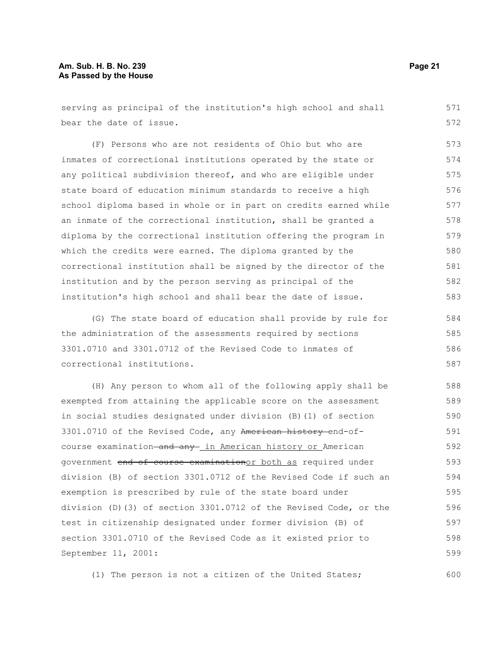#### **Am. Sub. H. B. No. 239 Page 21 As Passed by the House**

serving as principal of the institution's high school and shall bear the date of issue. 571 572

(F) Persons who are not residents of Ohio but who are inmates of correctional institutions operated by the state or any political subdivision thereof, and who are eligible under state board of education minimum standards to receive a high school diploma based in whole or in part on credits earned while an inmate of the correctional institution, shall be granted a diploma by the correctional institution offering the program in which the credits were earned. The diploma granted by the correctional institution shall be signed by the director of the institution and by the person serving as principal of the institution's high school and shall bear the date of issue. 573 574 575 576 577 578 579 580 581 582 583

(G) The state board of education shall provide by rule for the administration of the assessments required by sections 3301.0710 and 3301.0712 of the Revised Code to inmates of correctional institutions. 584 585 586 587

(H) Any person to whom all of the following apply shall be exempted from attaining the applicable score on the assessment in social studies designated under division (B)(1) of section 3301.0710 of the Revised Code, any American history end-ofcourse examination and any in American history or American government end-of-course examinationor both as required under division (B) of section 3301.0712 of the Revised Code if such an exemption is prescribed by rule of the state board under division (D)(3) of section 3301.0712 of the Revised Code, or the test in citizenship designated under former division (B) of section 3301.0710 of the Revised Code as it existed prior to September 11, 2001: 588 589 590 591 592 593 594 595 596 597 598 599

(1) The person is not a citizen of the United States;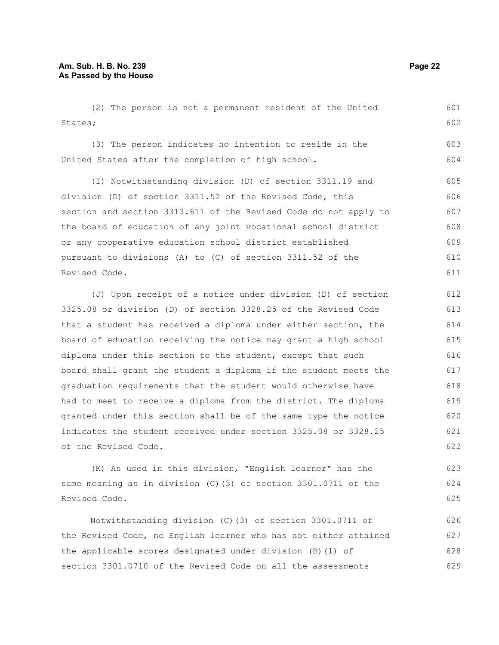(2) The person is not a permanent resident of the United States; (3) The person indicates no intention to reside in the United States after the completion of high school. (I) Notwithstanding division (D) of section 3311.19 and division (D) of section 3311.52 of the Revised Code, this section and section 3313.611 of the Revised Code do not apply to the board of education of any joint vocational school district or any cooperative education school district established pursuant to divisions (A) to (C) of section 3311.52 of the 601 602 603 604 605 606 607 608 609 610

Revised Code. (J) Upon receipt of a notice under division (D) of section 3325.08 or division (D) of section 3328.25 of the Revised Code that a student has received a diploma under either section, the board of education receiving the notice may grant a high school diploma under this section to the student, except that such board shall grant the student a diploma if the student meets the graduation requirements that the student would otherwise have had to meet to receive a diploma from the district. The diploma granted under this section shall be of the same type the notice indicates the student received under section 3325.08 or 3328.25 of the Revised Code.

(K) As used in this division, "English learner" has the same meaning as in division (C)(3) of section 3301.0711 of the Revised Code.

Notwithstanding division (C)(3) of section 3301.0711 of the Revised Code, no English learner who has not either attained the applicable scores designated under division (B)(1) of section 3301.0710 of the Revised Code on all the assessments 626 627 628 629

611

624

623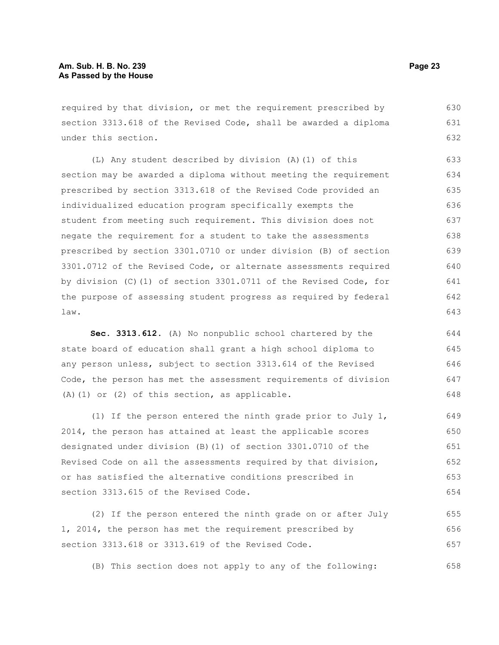required by that division, or met the requirement prescribed by section 3313.618 of the Revised Code, shall be awarded a diploma under this section. 630 631 632

(L) Any student described by division (A)(1) of this section may be awarded a diploma without meeting the requirement prescribed by section 3313.618 of the Revised Code provided an individualized education program specifically exempts the student from meeting such requirement. This division does not negate the requirement for a student to take the assessments prescribed by section 3301.0710 or under division (B) of section 3301.0712 of the Revised Code, or alternate assessments required by division (C)(1) of section 3301.0711 of the Revised Code, for the purpose of assessing student progress as required by federal law. 633 634 635 636 637 638 639 640 641 642 643

**Sec. 3313.612.** (A) No nonpublic school chartered by the state board of education shall grant a high school diploma to any person unless, subject to section 3313.614 of the Revised Code, the person has met the assessment requirements of division (A)(1) or (2) of this section, as applicable. 644 645 646 647 648

(1) If the person entered the ninth grade prior to July 1, 2014, the person has attained at least the applicable scores designated under division (B)(1) of section 3301.0710 of the Revised Code on all the assessments required by that division, or has satisfied the alternative conditions prescribed in section 3313.615 of the Revised Code. 649 650 651 652 653 654

(2) If the person entered the ninth grade on or after July 1, 2014, the person has met the requirement prescribed by section 3313.618 or 3313.619 of the Revised Code. 655 656 657

(B) This section does not apply to any of the following: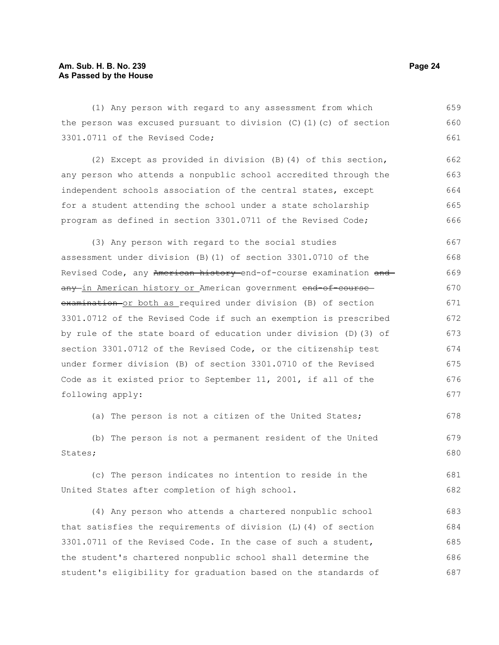#### **Am. Sub. H. B. No. 239 Page 24 As Passed by the House**

(1) Any person with regard to any assessment from which the person was excused pursuant to division  $(C)$  (1)(c) of section 3301.0711 of the Revised Code; 659 660 661

(2) Except as provided in division (B)(4) of this section, any person who attends a nonpublic school accredited through the independent schools association of the central states, except for a student attending the school under a state scholarship program as defined in section 3301.0711 of the Revised Code; 662 663 664 665 666

(3) Any person with regard to the social studies assessment under division (B)(1) of section 3301.0710 of the Revised Code, any American history end-of-course examination and any in American history or American government end-of-course examination or both as required under division (B) of section 3301.0712 of the Revised Code if such an exemption is prescribed by rule of the state board of education under division (D)(3) of section 3301.0712 of the Revised Code, or the citizenship test under former division (B) of section 3301.0710 of the Revised Code as it existed prior to September 11, 2001, if all of the following apply: 667 668 669 670 671 672 673 674 675 676 677

(a) The person is not a citizen of the United States;

(b) The person is not a permanent resident of the United States; 679 680

(c) The person indicates no intention to reside in the United States after completion of high school. 681 682

(4) Any person who attends a chartered nonpublic school that satisfies the requirements of division (L)(4) of section 3301.0711 of the Revised Code. In the case of such a student, the student's chartered nonpublic school shall determine the student's eligibility for graduation based on the standards of 683 684 685 686 687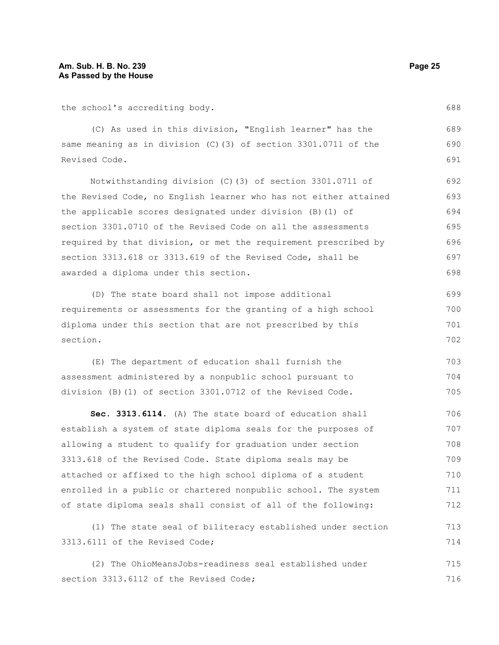the school's accrediting body.

(C) As used in this division, "English learner" has the same meaning as in division (C)(3) of section 3301.0711 of the Revised Code. 689 690 691

Notwithstanding division (C)(3) of section 3301.0711 of the Revised Code, no English learner who has not either attained the applicable scores designated under division (B)(1) of section 3301.0710 of the Revised Code on all the assessments required by that division, or met the requirement prescribed by section 3313.618 or 3313.619 of the Revised Code, shall be awarded a diploma under this section. 692 693 694 695 696 697 698

(D) The state board shall not impose additional requirements or assessments for the granting of a high school diploma under this section that are not prescribed by this section. 699 700 701 702

(E) The department of education shall furnish the assessment administered by a nonpublic school pursuant to division (B)(1) of section 3301.0712 of the Revised Code. 703 704 705

**Sec. 3313.6114.** (A) The state board of education shall establish a system of state diploma seals for the purposes of allowing a student to qualify for graduation under section 3313.618 of the Revised Code. State diploma seals may be attached or affixed to the high school diploma of a student enrolled in a public or chartered nonpublic school. The system of state diploma seals shall consist of all of the following: 706 707 708 709 710 711 712

(1) The state seal of biliteracy established under section 3313.6111 of the Revised Code; 713 714

(2) The OhioMeansJobs-readiness seal established under section 3313.6112 of the Revised Code; 715 716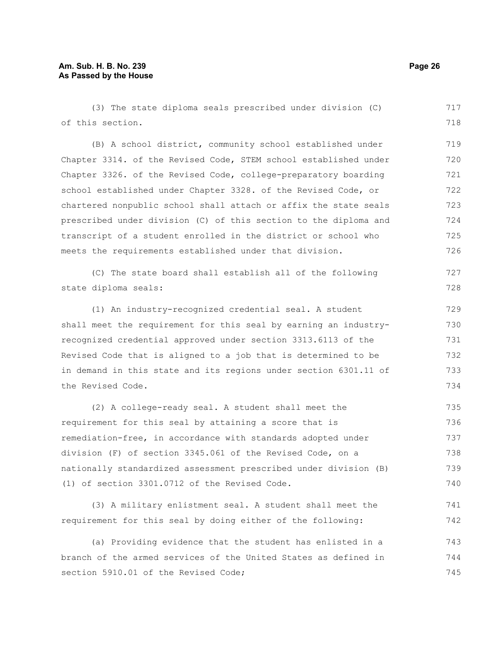#### **Am. Sub. H. B. No. 239 Page 26 As Passed by the House**

(3) The state diploma seals prescribed under division (C) of this section. 717 718

(B) A school district, community school established under Chapter 3314. of the Revised Code, STEM school established under Chapter 3326. of the Revised Code, college-preparatory boarding school established under Chapter 3328. of the Revised Code, or chartered nonpublic school shall attach or affix the state seals prescribed under division (C) of this section to the diploma and transcript of a student enrolled in the district or school who meets the requirements established under that division. 719 720 721 722 723 724 725 726

(C) The state board shall establish all of the following state diploma seals:

(1) An industry-recognized credential seal. A student shall meet the requirement for this seal by earning an industryrecognized credential approved under section 3313.6113 of the Revised Code that is aligned to a job that is determined to be in demand in this state and its regions under section 6301.11 of the Revised Code. 729 730 731 732 733 734

(2) A college-ready seal. A student shall meet the requirement for this seal by attaining a score that is remediation-free, in accordance with standards adopted under division (F) of section 3345.061 of the Revised Code, on a nationally standardized assessment prescribed under division (B) (1) of section 3301.0712 of the Revised Code. 735 736 737 738 739 740

(3) A military enlistment seal. A student shall meet the requirement for this seal by doing either of the following: 741 742

(a) Providing evidence that the student has enlisted in a branch of the armed services of the United States as defined in section 5910.01 of the Revised Code; 743 744 745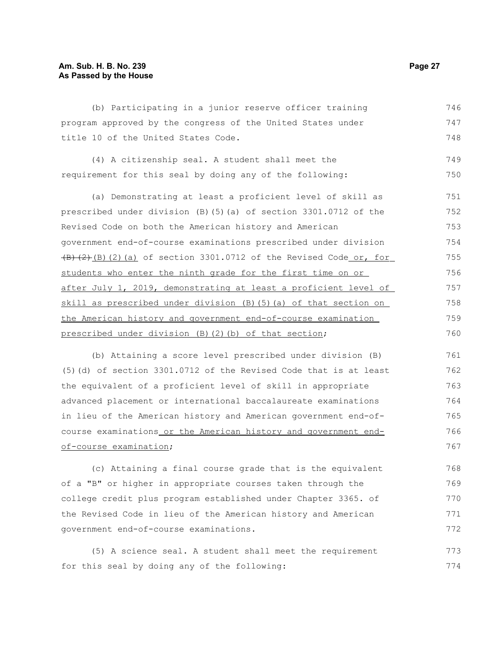#### **Am. Sub. H. B. No. 239 Page 27 As Passed by the House**

(b) Participating in a junior reserve officer training program approved by the congress of the United States under title 10 of the United States Code. 746 747 748

|                                                          | (4) A citizenship seal. A student shall meet the |  |  |  | 749 |
|----------------------------------------------------------|--------------------------------------------------|--|--|--|-----|
| requirement for this seal by doing any of the following: |                                                  |  |  |  | 750 |

(a) Demonstrating at least a proficient level of skill as prescribed under division (B)(5)(a) of section 3301.0712 of the Revised Code on both the American history and American government end-of-course examinations prescribed under division  $\overline{(B)(2)}$ (B)(2)(a) of section 3301.0712 of the Revised Code or, for students who enter the ninth grade for the first time on or after July 1, 2019, demonstrating at least a proficient level of skill as prescribed under division (B)(5)(a) of that section on the American history and government end-of-course examination prescribed under division (B)(2)(b) of that section; 751 752 753 754 755 756 757 758 759 760

(b) Attaining a score level prescribed under division (B) (5)(d) of section 3301.0712 of the Revised Code that is at least the equivalent of a proficient level of skill in appropriate advanced placement or international baccalaureate examinations in lieu of the American history and American government end-ofcourse examinations or the American history and government endof-course examination; 761 762 763 764 765 766 767

(c) Attaining a final course grade that is the equivalent of a "B" or higher in appropriate courses taken through the college credit plus program established under Chapter 3365. of the Revised Code in lieu of the American history and American government end-of-course examinations. 768 769 770 771 772

(5) A science seal. A student shall meet the requirement for this seal by doing any of the following: 773 774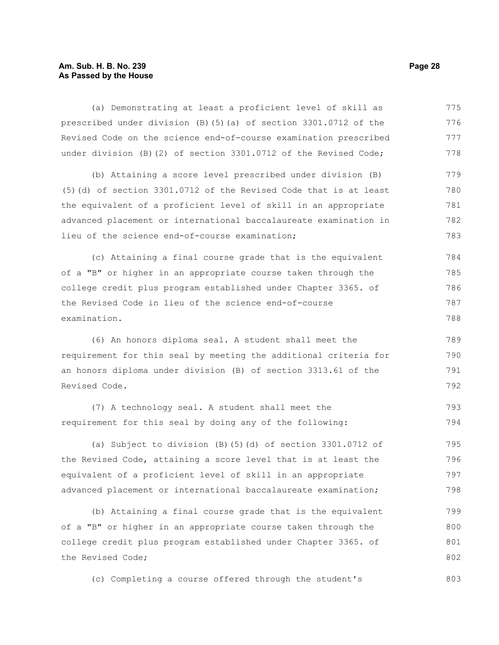### **Am. Sub. H. B. No. 239 Page 28 As Passed by the House**

| (a) Demonstrating at least a proficient level of skill as         | 775 |
|-------------------------------------------------------------------|-----|
| prescribed under division (B)(5)(a) of section 3301.0712 of the   | 776 |
| Revised Code on the science end-of-course examination prescribed  | 777 |
| under division (B)(2) of section 3301.0712 of the Revised Code;   | 778 |
| (b) Attaining a score level prescribed under division (B)         | 779 |
| (5) (d) of section 3301.0712 of the Revised Code that is at least | 780 |
| the equivalent of a proficient level of skill in an appropriate   | 781 |
| advanced placement or international baccalaureate examination in  | 782 |
| lieu of the science end-of-course examination;                    | 783 |
| (c) Attaining a final course grade that is the equivalent         | 784 |
| of a "B" or higher in an appropriate course taken through the     | 785 |
| college credit plus program established under Chapter 3365. of    | 786 |
| the Revised Code in lieu of the science end-of-course             | 787 |
| examination.                                                      | 788 |
| (6) An honors diploma seal. A student shall meet the              | 789 |
| requirement for this seal by meeting the additional criteria for  | 790 |
| an honors diploma under division (B) of section 3313.61 of the    | 791 |
| Revised Code.                                                     | 792 |
| (7) A technology seal. A student shall meet the                   | 793 |
| requirement for this seal by doing any of the following:          | 794 |
| (a) Subject to division (B) $(5)$ (d) of section 3301.0712 of     | 795 |
| the Revised Code, attaining a score level that is at least the    | 796 |
| equivalent of a proficient level of skill in an appropriate       | 797 |
| advanced placement or international baccalaureate examination;    | 798 |
| (b) Attaining a final course grade that is the equivalent         | 799 |
| of a "B" or higher in an appropriate course taken through the     | 800 |
| college credit plus program established under Chapter 3365. of    | 801 |
| the Revised Code;                                                 | 802 |
|                                                                   |     |

(c) Completing a course offered through the student's 803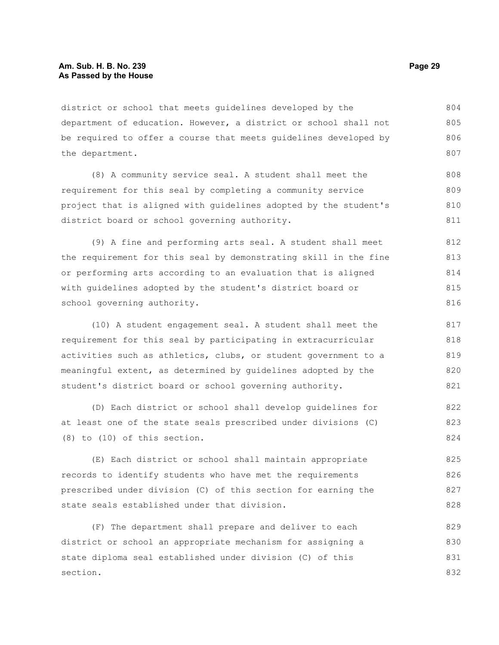district or school that meets guidelines developed by the department of education. However, a district or school shall not be required to offer a course that meets guidelines developed by the department. 804 805 806 807

(8) A community service seal. A student shall meet the requirement for this seal by completing a community service project that is aligned with guidelines adopted by the student's district board or school governing authority. 808 809 810 811

(9) A fine and performing arts seal. A student shall meet the requirement for this seal by demonstrating skill in the fine or performing arts according to an evaluation that is aligned with guidelines adopted by the student's district board or school governing authority.

(10) A student engagement seal. A student shall meet the requirement for this seal by participating in extracurricular activities such as athletics, clubs, or student government to a meaningful extent, as determined by guidelines adopted by the student's district board or school governing authority. 817 818 819 820 821

(D) Each district or school shall develop guidelines for at least one of the state seals prescribed under divisions (C) (8) to (10) of this section. 822 823 824

(E) Each district or school shall maintain appropriate records to identify students who have met the requirements prescribed under division (C) of this section for earning the state seals established under that division. 825 826 827 828

(F) The department shall prepare and deliver to each district or school an appropriate mechanism for assigning a state diploma seal established under division (C) of this section. 829 830 831 832